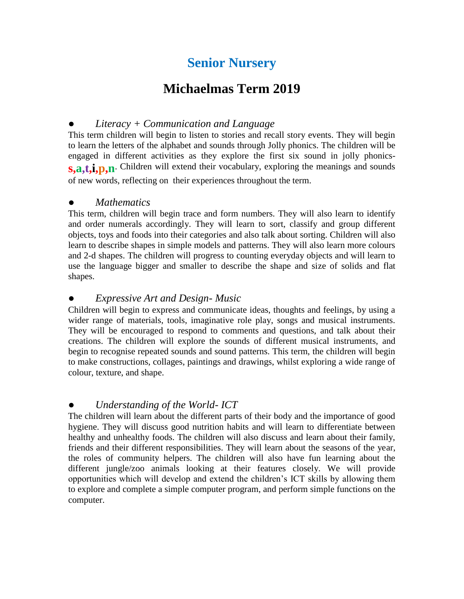# **Senior Nursery**

## **Michaelmas Term 2019**

### ● *Literacy + Communication and Language*

This term children will begin to listen to stories and recall story events. They will begin to learn the letters of the alphabet and sounds through Jolly phonics. The children will be engaged in different activities as they explore the first six sound in jolly phonics**s,a,t,i,p,n**. Children will extend their vocabulary, exploring the meanings and sounds of new words, reflecting on their experiences throughout the term.

#### ● *Mathematics*

This term, children will begin trace and form numbers. They will also learn to identify and order numerals accordingly. They will learn to sort, classify and group different objects, toys and foods into their categories and also talk about sorting. Children will also learn to describe shapes in simple models and patterns. They will also learn more colours and 2-d shapes. The children will progress to counting everyday objects and will learn to use the language bigger and smaller to describe the shape and size of solids and flat shapes.

#### ● *Expressive Art and Design- Music*

Children will begin to express and communicate ideas, thoughts and feelings, by using a wider range of materials, tools, imaginative role play, songs and musical instruments. They will be encouraged to respond to comments and questions, and talk about their creations. The children will explore the sounds of different musical instruments, and begin to recognise repeated sounds and sound patterns. This term, the children will begin to make constructions, collages, paintings and drawings, whilst exploring a wide range of colour, texture, and shape.

#### ● *Understanding of the World- ICT*

The children will learn about the different parts of their body and the importance of good hygiene. They will discuss good nutrition habits and will learn to differentiate between healthy and unhealthy foods. The children will also discuss and learn about their family, friends and their different responsibilities. They will learn about the seasons of the year, the roles of community helpers. The children will also have fun learning about the different jungle/zoo animals looking at their features closely. We will provide opportunities which will develop and extend the children's ICT skills by allowing them to explore and complete a simple computer program, and perform simple functions on the computer.